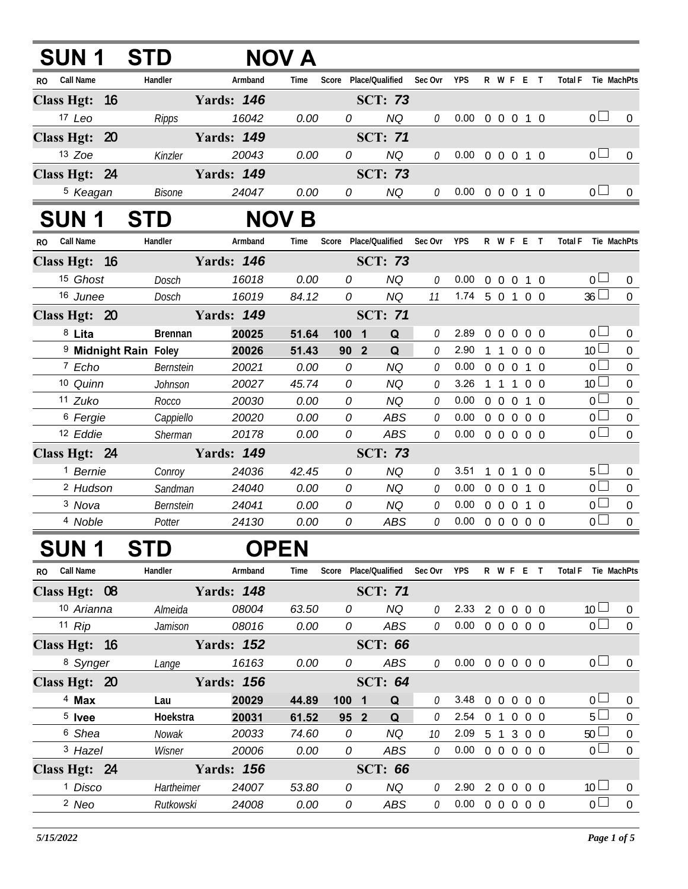| SUN 1                            | <b>STD</b>     |                   | NOV A        |                                |                |         |                            |              |                                 |   |                |                               |                  |
|----------------------------------|----------------|-------------------|--------------|--------------------------------|----------------|---------|----------------------------|--------------|---------------------------------|---|----------------|-------------------------------|------------------|
| RO Call Name                     | Handler        | Armband           | Time         | Score Place/Qualified          |                | Sec Ovr | <b>YPS</b>                 |              | R W F E T                       |   |                | <b>Total F</b><br>Tie MachPts |                  |
| Class Hgt: 16                    |                | <b>Yards: 146</b> |              |                                | <b>SCT: 73</b> |         |                            |              |                                 |   |                |                               |                  |
| 17 Leo                           | Ripps          | 16042             | 0.00         | 0                              | <b>NQ</b>      | 0       | $0.00 \t0 \t0 \t0 \t1 \t0$ |              |                                 |   |                | 0 <sub>0</sub>                | $\mathbf{0}$     |
| Class Hgt: 20                    |                | <b>Yards: 149</b> |              |                                | <b>SCT: 71</b> |         |                            |              |                                 |   |                |                               |                  |
| 13 Zoe                           | Kinzler        | 20043             | 0.00         | 0                              | <b>NQ</b>      | 0       | $0.00 \t0 \t0 \t0 \t1 \t0$ |              |                                 |   |                | 0 <sub>0</sub>                | 0                |
| Class Hgt: 24                    |                | <b>Yards: 149</b> |              |                                | <b>SCT: 73</b> |         |                            |              |                                 |   |                |                               |                  |
| <sup>5</sup> Keagan              | Bisone         | 24047             | 0.00         | 0                              | NQ             | 0       | 0.00 0 0 0 1 0             |              |                                 |   |                | 0 <sub>0</sub>                | $\overline{0}$   |
| <b>SUN 1</b>                     | <b>STD</b>     |                   | <b>NOV B</b> |                                |                |         |                            |              |                                 |   |                |                               |                  |
| RO Call Name                     | Handler        | Armband           | Time         | Score Place/Qualified          |                | Sec Ovr | <b>YPS</b>                 |              | R W F E T                       |   |                | <b>Total F</b><br>Tie MachPts |                  |
| Class Hgt: 16                    |                | <b>Yards: 146</b> |              |                                | <b>SCT: 73</b> |         |                            |              |                                 |   |                |                               |                  |
| <sup>15</sup> Ghost              | Dosch          | 16018             | 0.00         | 0                              | <b>NQ</b>      | 0       | 0.00 <sub>1</sub>          |              | 0 0 0 1 0                       |   |                | 0 <sub>1</sub>                | $\bf{0}$         |
| 16 Junee                         | Dosch          | 16019             | 84.12        | 0                              | <b>NQ</b>      | 11      | $1.74$ 5 0 1 0 0           |              |                                 |   |                | $36 \Box$                     | $\overline{0}$   |
| Class Hgt: 20                    |                | <b>Yards: 149</b> |              |                                |                |         |                            |              |                                 |   |                |                               |                  |
| 8 Lita                           | <b>Brennan</b> | 20025             | 51.64        | 100<br>$\overline{\mathbf{1}}$ | Q              | 0       | 2.89                       |              | 0 0 0 0 0                       |   |                | 0 <sup>1</sup>                | $\bf{0}$         |
| <sup>9</sup> Midnight Rain Foley |                | 20026             | 51.43        | 90 <sub>2</sub>                | Q              | 0       | 2.90                       |              | 1 1 0 0 0                       |   |                | 10 <sup>L</sup>               | $\mathbf 0$      |
| 7 Echo                           | Bernstein      | 20021             | 0.00         | 0                              | NQ             | 0       | $0.00 \t 0 \t 0 \t 0$      |              |                                 |   | 1 0            | 0 <sub>0</sub>                | $\boldsymbol{0}$ |
| 10 Quinn                         | Johnson        | 20027             | 45.74        | 0                              | <b>NQ</b>      | 0       | 3.26 1 1 1 0 0             |              |                                 |   |                | 10 <sup>1</sup>               | $\mathbf 0$      |
| 11 Zuko                          | Rocco          | 20030             | 0.00         | 0                              | NQ             | 0       | 0.00                       |              | $0\quad 0\quad 0$               |   | 1 0            | 0 <sub>0</sub>                | $\boldsymbol{0}$ |
| <sup>6</sup> Fergie              | Cappiello      | 20020             | 0.00         | 0                              | <b>ABS</b>     | 0       | $0.00 \t0 \t0 \t0 \t0 \t0$ |              |                                 |   |                | 0 <sup>1</sup>                | $\boldsymbol{0}$ |
| 12 Eddie                         | Sherman        | 20178             | 0.00         | 0                              | <b>ABS</b>     | 0       | $0.00 \t0 \t0 \t0 \t0 \t0$ |              |                                 |   |                | $\overline{0}$                | $\mathbf 0$      |
| Class Hgt: 24                    |                | <b>Yards: 149</b> |              |                                | <b>SCT: 73</b> |         |                            |              |                                 |   |                |                               |                  |
| <sup>1</sup> Bernie              | Conroy         | 24036             | 42.45        | 0                              | <b>NQ</b>      | 0       | 3.51                       | $\mathbf{1}$ | $\overline{0}$                  | 1 | 0 <sub>0</sub> | 5 <sub>1</sub>                | $\mathbf 0$      |
| <sup>2</sup> Hudson              | Sandman        | 24040             | 0.00         | 0                              | <b>NQ</b>      | 0       | 0.00                       |              | $0\quad 0\quad 0$               |   | 1 0            | 0 <sub>l</sub>                | $\mathbf 0$      |
| 3 Nova                           | Bernstein      | 24041             | 0.00         | 0                              | <b>NQ</b>      | 0       | $0.00 \t0 \t0 \t0 \t1 \t0$ |              |                                 |   |                | 0 <sub>0</sub>                | $\mathbf 0$      |
| 4 Noble                          | Potter         | 24130             | 0.00         | 0                              | ABS            | 0       | 0.00                       |              | $0\quad 0\quad 0\quad 0\quad 0$ |   |                | 0 <sup>1</sup>                | $\overline{0}$   |
| SUN 1                            | <b>STD</b>     | <b>OPEN</b>       |              |                                |                |         |                            |              |                                 |   |                |                               |                  |
| RO Call Name                     | Handler        | Armband           | Time         | Score Place/Qualified          |                | Sec Ovr | YPS                        |              | R W F E T                       |   |                | Total F Tie MachPts           |                  |
| Class Hgt: 08                    |                | <b>Yards: 148</b> |              |                                | <b>SCT: 71</b> |         |                            |              |                                 |   |                |                               |                  |
| 10 Arianna                       | Almeida        | 08004             | 63.50        | 0                              | <b>NQ</b>      | 0       | 2.33 2 0 0 0 0             |              |                                 |   |                | 10 <sup>1</sup>               | 0                |
| 11 $Rip$                         | Jamison        | 08016             | 0.00         | 0                              | ABS            | 0       | $0.00 \t0 \t0 \t0 \t0 \t0$ |              |                                 |   |                | 0 <sup>1</sup>                | $\overline{0}$   |
| Class Hgt: 16                    |                | <b>Yards: 152</b> |              |                                | <b>SCT: 66</b> |         |                            |              |                                 |   |                |                               |                  |
| 8 Synger                         | Lange          | 16163             | 0.00         | 0                              | ABS            | 0       | $0.00 \t0 \t0 \t0 \t0 \t0$ |              |                                 |   |                | 0 <sub>1</sub>                | $\overline{0}$   |
| Class Hgt: 20                    |                | <b>Yards: 156</b> |              |                                | <b>SCT: 64</b> |         |                            |              |                                 |   |                |                               |                  |
| $4$ Max                          | Lau            | 20029             | 44.89        | $100 \quad 1$                  | Q              | 0       | 3.48 0 0 0 0 0             |              |                                 |   |                | $0 -$                         | $\mathbf 0$      |
| $5$ lvee                         | Hoekstra       | 20031             | 61.52        | 95 2                           | Q              | 0       | 2.54 0 1 0 0 0             |              |                                 |   |                | 5 <sub>1</sub>                | $\boldsymbol{0}$ |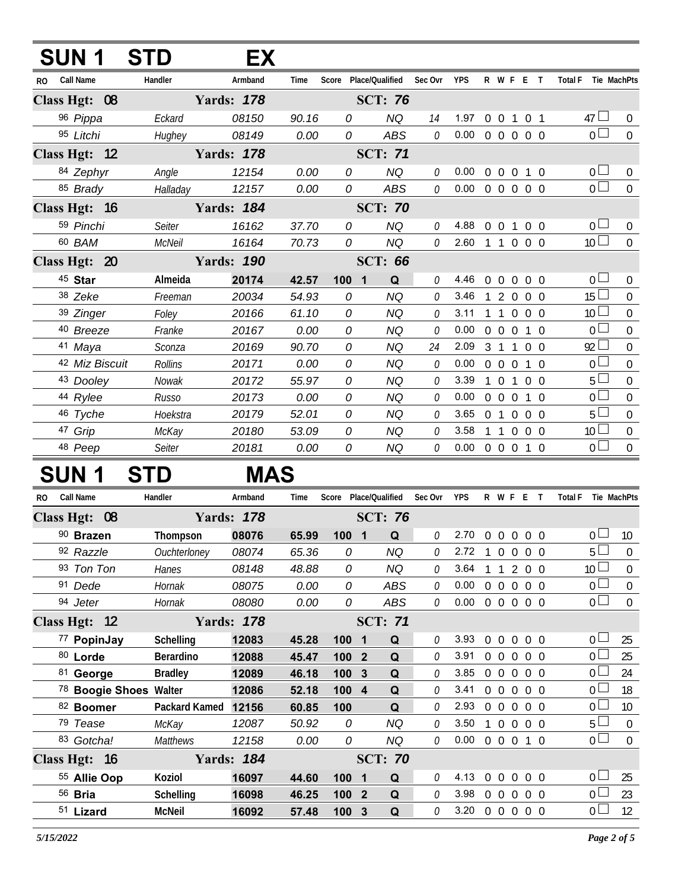|               | <b>SUN1</b>      | <b>STD</b> | EX                |       |       |                       |         |            |                |                   |                   |                     |                |                 |                  |
|---------------|------------------|------------|-------------------|-------|-------|-----------------------|---------|------------|----------------|-------------------|-------------------|---------------------|----------------|-----------------|------------------|
| <b>RO</b>     | <b>Call Name</b> | Handler    | Armband           | Time  |       | Score Place/Qualified | Sec Ovr | <b>YPS</b> |                |                   |                   | R W F E T           |                | <b>Total F</b>  | Tie MachPts      |
| Class Hgt: 08 |                  |            | <b>Yards: 178</b> |       |       | <b>SCT: 76</b>        |         |            |                |                   |                   |                     |                |                 |                  |
|               | 96 Pippa         | Eckard     | 08150             | 90.16 | 0     | <b>NQ</b>             | 14      | 1.97       |                |                   |                   | 0 0 1 0 1           |                | 47 $\Box$       | $\overline{0}$   |
|               | 95 Litchi        | Hughey     | 08149             | 0.00  | 0     | <b>ABS</b>            | 0       | 0.00       |                |                   |                   | 0 0 0 0 0           |                | $_0$ $\Box$     | $\overline{0}$   |
| Class Hgt: 12 |                  |            | <b>Yards: 178</b> |       |       | <b>SCT: 71</b>        |         |            |                |                   |                   |                     |                |                 |                  |
|               | 84 Zephyr        | Angle      | 12154             | 0.00  | 0     | <b>NQ</b>             | 0       | 0.00       |                |                   | $0\quad 0\quad 0$ |                     | $1\quad0$      | 0 <sub>0</sub>  | $\overline{0}$   |
|               | 85 Brady         | Halladay   | 12157             | 0.00  | 0     | <b>ABS</b>            | 0       | 0.00       |                |                   |                   | 0 0 0 0 0           |                | $\overline{0}$  | $\boldsymbol{0}$ |
| Class Hgt: 16 |                  |            | <b>Yards: 184</b> |       |       | <b>SCT: 70</b>        |         |            |                |                   |                   |                     |                |                 |                  |
|               | 59 Pinchi        | Seiter     | 16162             | 37.70 | 0     | <b>NQ</b>             | 0       | 4.88       |                |                   |                   | 0 0 1 0 0           |                | $\overline{0}$  | $\overline{0}$   |
|               | 60 BAM           | McNeil     | 16164             | 70.73 | 0     | <b>NQ</b>             | 0       | 2.60       | 1 1 0 0 0      |                   |                   |                     |                | 10 <sup>1</sup> | $\mathbf 0$      |
| Class Hgt: 20 |                  |            | <b>Yards: 190</b> |       |       | <b>SCT: 66</b>        |         |            |                |                   |                   |                     |                |                 |                  |
|               | 45 Star          | Almeida    | 20174             | 42.57 | 100 1 | Q                     | 0       | 4.46       |                |                   | $0\quad 0\quad 0$ | $0\quad 0$          |                | $_0$ $\Box$     | $\mathbf 0$      |
|               | 38 Zeke          | Freeman    | 20034             | 54.93 | 0     | <b>NQ</b>             | 0       | 3.46       | $\mathbf{1}$   | 2                 | $\overline{0}$    |                     | 0 <sub>0</sub> | $15\Box$        | 0                |
|               | 39 Zinger        | Foley      | 20166             | 61.10 | 0     | <b>NQ</b>             | 0       | 3.11       |                | $\overline{1}$    |                   | $0 \quad 0 \quad 0$ |                | 10 <sup>1</sup> | $\mathbf 0$      |
|               | 40 Breeze        | Franke     | 20167             | 0.00  | 0     | <b>NQ</b>             | 0       | 0.00       |                |                   |                   | 0 0 0 1 0           |                | $\overline{0}$  | $\mathbf 0$      |
|               | 41 Maya          | Sconza     | 20169             | 90.70 | 0     | <b>NQ</b>             | 24      | 2.09       | 3 <sub>1</sub> |                   |                   | 1 0 0               |                | $92 \Box$       | $\overline{0}$   |
|               | 42 Miz Biscuit   | Rollins    | 20171             | 0.00  | 0     | <b>NQ</b>             | 0       | 0.00       |                | $0\quad 0\quad 0$ |                   |                     | $1\quad$ 0     | $\overline{0}$  | $\overline{0}$   |
|               | 43 Dooley        | Nowak      | 20172             | 55.97 | 0     | <b>NQ</b>             | 0       | 3.39       |                |                   | 1 0 1             | $0\quad 0$          |                | $5-$            | $\overline{0}$   |
|               | 44 Rylee         | Russo      | 20173             | 0.00  | 0     | <b>NQ</b>             | 0       | 0.00       |                |                   |                   | 0 0 0 1 0           |                | 0 <sup>1</sup>  | $\overline{0}$   |
|               | 46 Tyche         | Hoekstra   | 20179             | 52.01 | 0     | <b>NQ</b>             | 0       | 3.65       | 0 <sub>1</sub> |                   | $\Omega$          |                     | $0\quad 0$     | $5-$            | $\overline{0}$   |
|               | 47 Grip          | McKay      | 20180             | 53.09 | 0     | NQ                    | 0       | 3.58       |                | $\overline{1}$    | $\overline{0}$    |                     | $0\quad 0$     | 10 <sup>2</sup> | $\mathbf 0$      |
|               | 48 Peep          | Seiter     | 20181             | 0.00  | 0     | ΝQ                    | 0       | 0.00       |                |                   | $0\quad 0\quad 0$ |                     | $1\quad$ 0     | 0 <sub>1</sub>  | $\overline{0}$   |
|               | N INI D          | CTD        | NA A C            |       |       |                       |         |            |                |                   |                   |                     |                |                 |                  |

## **SUN 1 STD MAS**

| R <sub>O</sub> | <b>Call Name</b>                  | Handler          | Armband           | Time  | Score |                         | Place/Qualified | Sec Ovr | <b>YPS</b> |                | R W F          | Ε              |                   | <b>Total F</b> |                 | Tie MachPts    |
|----------------|-----------------------------------|------------------|-------------------|-------|-------|-------------------------|-----------------|---------|------------|----------------|----------------|----------------|-------------------|----------------|-----------------|----------------|
|                | Class Hgt: 08                     |                  | <b>Yards: 178</b> |       |       |                         | <b>SCT: 76</b>  |         |            |                |                |                |                   |                |                 |                |
|                | 90 Brazen                         | Thompson         | 08076             | 65.99 | 1001  |                         | Q               | 0       | 2.70       | $\Omega$       | $\Omega$       | $\overline{0}$ | $0\quad 0$        |                | 0               | 10             |
|                | 92 Razzle                         | Ouchterloney     | 08074             | 65.36 | 0     |                         | NQ              | 0       | 2.72       |                | $\mathbf{0}$   | $\overline{0}$ | $0\quad 0$        |                | $5^{\circ}$     | $\mathbf 0$    |
|                | 93 Ton Ton                        | Hanes            | 08148             | 48.88 | 0     |                         | NQ              | 0       | 3.64       |                |                | 2              | 0 <sub>0</sub>    |                | 10 <sup>°</sup> | $\mathbf 0$    |
|                | 91 Dede                           | Hornak           | 08075             | 0.00  | 0     |                         | ABS             | 0       | 0.00       | $\Omega$       | $\Omega$       | $\overline{0}$ | 0 <sub>0</sub>    |                | 0 L             | 0              |
|                | 94 Jeter                          | Hornak           | 08080             | 0.00  | 0     |                         | <b>ABS</b>      | 0       | 0.00       | $0\quad 0$     |                | $\overline{0}$ | 0 <sub>0</sub>    |                | 0 <sub>0</sub>  | $\Omega$       |
|                | Class Hgt: 12                     |                  | <b>Yards: 178</b> |       |       |                         | <b>SCT: 71</b>  |         |            |                |                |                |                   |                |                 |                |
|                | 77 PopinJay                       | <b>Schelling</b> | 12083             | 45.28 | 100   | $\overline{\mathbf{1}}$ | Q               | 0       | 3.93       | $\theta$       | $\mathbf{0}$   | $\mathbf 0$    | $0\quad 0$        |                | 0 <sup>1</sup>  | 25             |
|                | 80 Lorde                          | Berardino        | 12088             | 45.47 | 100 2 |                         | Q               | 0       | 3.91       | $\overline{0}$ | $\theta$       | $\overline{0}$ | $0\quad 0$        |                | 0               | 25             |
|                | 81 George                         | <b>Bradley</b>   | 12089             | 46.18 | 100   | 3                       | Q               | 0       | 3.85       | 0              | $\Omega$       | $\Omega$       | $\Omega$<br>- 0   |                | 0               | 24             |
|                | <sup>78</sup> Boogie Shoes Walter |                  | 12086             | 52.18 | 100   | $\overline{\mathbf{4}}$ | Q               | 0       | 3.41       | $\Omega$       | $\overline{0}$ | $\Omega$       | 0 <sub>0</sub>    |                | 0               | 18             |
|                | 82 Boomer                         | Packard Kamed    | 12156             | 60.85 | 100   |                         | Q               | 0       | 2.93       | $\Omega$       | $\Omega$       | $\overline{0}$ | 0 O               |                | 0               | 10             |
|                | 79 Tease                          | McKay            | 12087             | 50.92 | 0     |                         | NQ              | 0       | 3.50       |                | 0              | $\Omega$       | $\Omega$<br>- 0   |                | 5 <sup>1</sup>  | $\Omega$       |
|                | 83 Gotcha!                        | <b>Matthews</b>  | 12158             | 0.00  | 0     |                         | NQ              | 0       | 0.00       | $\overline{0}$ | $\mathbf{0}$   | $\overline{0}$ | $1\quad$ $\Omega$ |                | 0 <sub>1</sub>  | $\overline{0}$ |
|                | Class Hgt: 16                     |                  | <b>Yards: 184</b> |       |       |                         | <b>SCT: 70</b>  |         |            |                |                |                |                   |                |                 |                |
|                | 55 Allie Oop                      | Koziol           | 16097             | 44.60 | 100   | 1                       | Q               | 0       | 4.13       | $\Omega$       | $\mathbf{0}$   | $\theta$       | $0\quad 0$        |                | 0               | 25             |
|                | $56$ Bria                         | <b>Schelling</b> | 16098             | 46.25 | 100   | $\overline{2}$          | Q               | 0       | 3.98       | $\Omega$       | $\Omega$       | $\Omega$       | $\Omega$<br>- 0   |                | 0               | 23             |
|                | 51 Lizard                         | <b>McNeil</b>    | 16092             | 57.48 | 100   | 3                       | Q               | O       | 3.20       | $\Omega$       | $\Omega$       | $\overline{0}$ | $\Omega$<br>- 0   |                | 0               | 12             |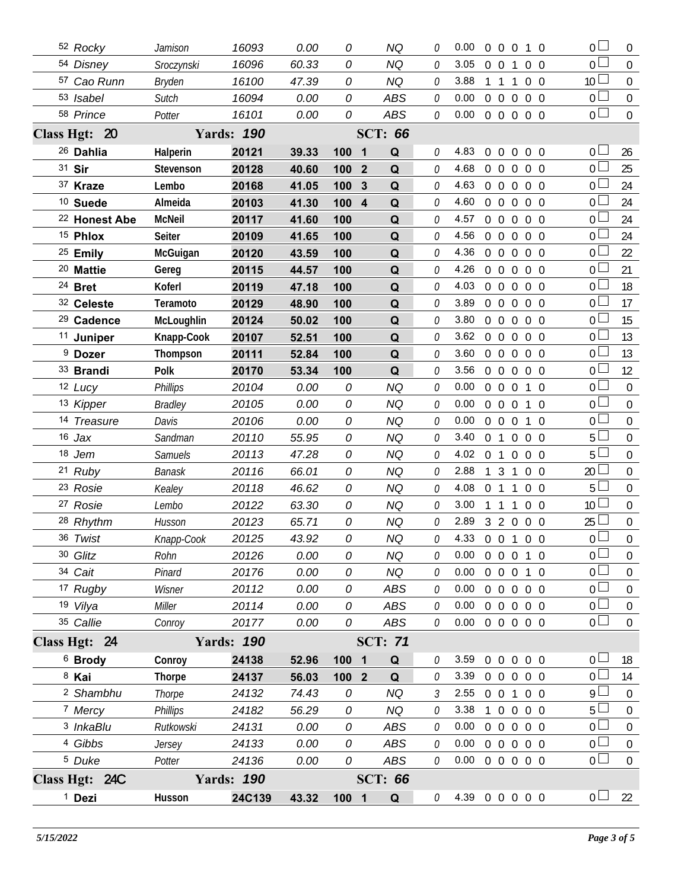|               | 52 Rocky                 | Jamison         | 16093                      | 0.00  | 0                     | ΝQ             | O | 0.00                       | $\Omega$       | $0\quad 0$     |                | 1 0               | 0 <sub>0</sub>  | $\overline{0}$   |
|---------------|--------------------------|-----------------|----------------------------|-------|-----------------------|----------------|---|----------------------------|----------------|----------------|----------------|-------------------|-----------------|------------------|
|               | 54 Disney                | Sroczynski      | 16096                      | 60.33 | 0                     | <b>NQ</b>      | 0 | 3.05                       | $0\quad 0$     |                | 1              | $0\quad 0$        | 0 <sup>1</sup>  | $\overline{0}$   |
|               | 57 Cao Runn              | <b>Bryden</b>   | 16100                      | 47.39 | 0                     | <b>NQ</b>      | 0 | 3.88                       |                | 1 1            | 1              | $0\quad 0$        | 10 <sup>L</sup> | $\mathbf 0$      |
|               | 53 Isabel                | Sutch           | 16094                      | 0.00  | 0                     | <b>ABS</b>     | 0 | 0.00                       | $\overline{0}$ | $\overline{0}$ | $\overline{0}$ | $0\quad 0$        | 0 <sub>0</sub>  | $\mathbf 0$      |
|               | 58 Prince                | Potter          | 16101                      | 0.00  | 0                     | ABS            | 0 | 0.00                       |                |                |                | 0 0 0 0 0         | 0 <sub>0</sub>  | $\overline{0}$   |
|               | Class Hgt: 20            |                 | <b>Yards: 190</b>          |       |                       | <b>SCT: 66</b> |   |                            |                |                |                |                   |                 |                  |
|               | <sup>26</sup> Dahlia     | Halperin        | 20121                      | 39.33 | 100<br>$\blacksquare$ | Q              | 0 | 4.83                       | $\overline{0}$ | $\overline{0}$ | $\overline{0}$ | 0 <sub>0</sub>    | $\overline{0}$  | 26               |
|               | 31 Sir                   | Stevenson       | 20128                      | 40.60 | 100<br>$\mathbf{2}$   | Q              | 0 | 4.68                       | $\overline{0}$ | $\overline{0}$ | $\Omega$       | $0\quad 0$        | 0 l             | 25               |
|               | 37 Kraze                 | Lembo           | 20168                      | 41.05 | 100<br>$\mathbf{3}$   | Q              | 0 | 4.63                       | $\overline{0}$ | $\overline{0}$ | $\overline{0}$ | $0\quad 0$        | 0 l             | 24               |
|               | <sup>10</sup> Suede      | Almeida         | 20103                      | 41.30 | 100<br>$\overline{4}$ | Q              | O | 4.60                       | $\overline{0}$ | $\overline{0}$ | $\overline{0}$ | $0\quad 0$        | 0 l             | 24               |
|               | <sup>22</sup> Honest Abe | <b>McNeil</b>   | 20117                      | 41.60 | 100                   | Q              | 0 | 4.57                       | $\overline{0}$ | $\overline{0}$ | $\overline{0}$ | $0\quad 0$        | 0               | 24               |
|               | <sup>15</sup> Phlox      | <b>Seiter</b>   | 20109                      | 41.65 | 100                   | Q              | O | 4.56                       | $\overline{0}$ | $\overline{0}$ | $\mathbf 0$    | $0\quad 0$        | 0 <sup>1</sup>  | 24               |
|               | 25 Emily                 | McGuigan        | 20120                      | 43.59 | 100                   | Q              | 0 | 4.36                       | $\overline{0}$ | $0\quad 0$     |                | $0\quad 0$        | 0 <sup>1</sup>  | 22               |
|               | <sup>20</sup> Mattie     | Gereg           | 20115                      | 44.57 | 100                   | Q              | O | 4.26                       | $\overline{0}$ | $\overline{0}$ | $\overline{0}$ | $0\quad 0$        | $\overline{0}$  | 21               |
|               | <sup>24</sup> Bret       | Koferl          | 20119                      | 47.18 | 100                   | Q              | O | 4.03                       | $\overline{0}$ | $\overline{0}$ | $\mathbf 0$    | $0\quad 0$        | $\overline{0}$  | 18               |
|               | 32 Celeste               | Teramoto        | 20129                      | 48.90 | 100                   | Q              | O | 3.89                       | $\overline{0}$ | $\overline{0}$ | $\Omega$       | $0\quad 0$        | $\overline{0}$  | 17               |
|               | <sup>29</sup> Cadence    | McLoughlin      | 20124                      | 50.02 | 100                   | Q              | O | 3.80                       | $\overline{0}$ | $\overline{0}$ | $\overline{0}$ | $0\quad 0$        | $\overline{0}$  | 15               |
|               | <sup>11</sup> Juniper    | Knapp-Cook      | 20107                      | 52.51 | 100                   | Q              | O | 3.62                       |                | $0\quad 0$     | $\overline{0}$ | $0\quad 0$        | $\overline{0}$  | 13               |
|               | <sup>9</sup> Dozer       | Thompson        | 20111                      | 52.84 | 100                   | Q              | 0 | 3.60                       | $\mathbf 0$    | $\overline{0}$ | $\overline{0}$ | $0\quad 0$        | $\overline{0}$  | 13               |
|               | 33 Brandi                | Polk            | 20170                      | 53.34 | 100                   | Q              | 0 | 3.56                       | $\overline{0}$ | $\overline{0}$ | $\overline{0}$ | $0\quad 0$        | 0 <sup>1</sup>  | 12               |
|               | 12 Lucy                  | <b>Phillips</b> | 20104                      | 0.00  | 0                     | <b>NQ</b>      | 0 | 0.00                       | $\overline{0}$ | $\overline{0}$ | $\overline{0}$ | $1\quad0$         | 0 l             | $\mathbf 0$      |
|               | 13 Kipper                | <b>Bradley</b>  | 20105                      | 0.00  | 0                     | <b>NQ</b>      | 0 | 0.00                       |                | $0\quad 0$     | $\overline{0}$ | 1 0               | 0 <sub>0</sub>  | $\mathbf 0$      |
|               | 14 Treasure              | Davis           | 20106                      | 0.00  | 0                     | <b>NQ</b>      | 0 | 0.00                       | $\overline{0}$ | $\overline{0}$ | $\overline{0}$ | $1\quad$ 0        | 0 <sup>1</sup>  | $\mathbf 0$      |
|               | $16$ Jax                 | Sandman         | 20110                      | 55.95 | 0                     | <b>NQ</b>      | 0 | 3.40                       | $\overline{0}$ | $\overline{1}$ | $\overline{0}$ | $0\quad 0$        | 5               | $\mathbf 0$      |
|               | 18 Jem                   | Samuels         | 20113                      | 47.28 | 0                     | <b>NQ</b>      | 0 | 4.02                       | $\overline{0}$ | $\overline{1}$ | $\overline{0}$ | $0\quad 0$        | 5               | $\mathbf 0$      |
|               | 21 Ruby                  | <b>Banask</b>   | 20116                      | 66.01 | 0                     | <b>NQ</b>      | 0 | 2.88                       | $\mathbf{1}$   | 3              | 1              | $0\quad 0$        | 20              | $\mathbf 0$      |
|               | 23 Rosie                 | Kealey          | 20118                      | 46.62 | 0                     | <b>NQ</b>      | 0 | 4.08                       | $\overline{0}$ | $\overline{1}$ | $\mathbf{1}$   | $0\quad 0$        | 5               | $\mathbf 0$      |
|               | 27 Rosie                 | Lembo           | 20122                      | 63.30 | 0                     | <b>NQ</b>      | 0 | 3.00                       | $\mathbf{1}$   | $\overline{1}$ | $\mathbf{1}$   | $0\quad 0$        | 10 <sup>°</sup> | $\mathbf 0$      |
|               | 28 Rhythm                | Husson          | 20123                      | 65.71 | 0                     | <b>NQ</b>      | 0 | 2.89                       |                | 320            |                | $0\quad 0$        | 25              | $\mathbf 0$      |
|               | 36 Twist                 | Knapp-Cook      | 20125                      | 43.92 | 0                     | NQ             |   | 4.33 0 0 1                 |                |                |                | $0\quad 0$        | $\Omega$        | $\boldsymbol{0}$ |
|               | 30 Glitz                 | Rohn            | 20126                      | 0.00  | 0                     | <b>NQ</b>      | 0 | 0.00                       |                |                |                | 0 0 0 1 0         | 0 <sup>1</sup>  | $\mathbf 0$      |
|               | 34 Cait                  | Pinard          | 20176                      | 0.00  | 0                     | <b>NQ</b>      | 0 | 0.00                       |                |                |                | 0 0 0 1 0         | 0 l             | $\boldsymbol{0}$ |
|               | 17 Rugby                 | Wisner          | 20112                      | 0.00  | 0                     | <b>ABS</b>     | 0 | 0.00                       |                |                |                | 0 0 0 0 0         | 0 <sup>1</sup>  | $\boldsymbol{0}$ |
|               | 19 Vilya                 | Miller          | 20114                      | 0.00  | 0                     | ABS            | 0 | 0.00                       |                | $0\quad 0$     |                | $0\quad 0\quad 0$ | 0 <sub>0</sub>  | $\boldsymbol{0}$ |
|               | 35 Callie                | Conroy          | 20177<br><b>Yards: 190</b> | 0.00  | 0                     | ABS            | 0 | $0.00 \t0 \t0 \t0 \t0 \t0$ |                |                |                |                   | $\overline{0}$  | $\mathbf 0$      |
| Class Hgt: 24 |                          | <b>SCT: 71</b>  |                            |       |                       |                |   |                            |                |                |                |                   |                 |                  |
|               | <sup>6</sup> Brody       | Conroy          | 24138                      | 52.96 | 1001                  | Q              | 0 | 3.59                       | $\overline{0}$ | $\mathbf 0$    | $\overline{0}$ | $0\quad 0$        | 0 <sub>0</sub>  | 18               |
|               | 8 Kai                    | <b>Thorpe</b>   | 24137                      | 56.03 | 100 2                 | Q              | 0 | 3.39                       |                |                |                | 0 0 0 0 0         | 0 <sup>1</sup>  | 14               |
|               | <sup>2</sup> Shambhu     | Thorpe          | 24132                      | 74.43 | 0                     | <b>NQ</b>      | 3 | 2.55                       | $0\quad 0$     |                | $\mathbf{1}$   | $0\quad 0$        | $9+$            | $\boldsymbol{0}$ |
|               | 7 Mercy                  | <b>Phillips</b> | 24182                      | 56.29 | 0                     | <b>NQ</b>      | 0 | 3.38                       | 1              | $\overline{0}$ | $\overline{0}$ | $0\quad 0$        | 5 <sup>1</sup>  | $\mathbf 0$      |
|               | <sup>3</sup> InkaBlu     | Rutkowski       | 24131                      | 0.00  | 0                     | ABS            | 0 | 0.00                       | $\overline{0}$ | $\overline{0}$ | $\overline{0}$ | $0\quad 0$        | 0 <sub>0</sub>  | $\boldsymbol{0}$ |
|               | 4 Gibbs                  | Jersey          | 24133                      | 0.00  | 0                     | ABS            | 0 | 0.00                       | $0\quad 0$     |                | $\overline{0}$ | $0\quad 0$        | 0 <sup>1</sup>  | $\boldsymbol{0}$ |
|               | <sup>5</sup> Duke        | Potter          | 24136                      | 0.00  | 0                     | ABS            | 0 | 0.00                       |                |                |                | 0 0 0 0 0         | $\overline{0}$  | $\boldsymbol{0}$ |
|               | Class Hgt: 24C           |                 | <b>Yards: 190</b>          |       |                       | <b>SCT: 66</b> |   |                            |                |                |                |                   |                 |                  |
|               | <sup>1</sup> Dezi        | Husson          | 24C139                     | 43.32 | 100 1                 | Q              | 0 | 4.39 0 0 0 0 0             |                |                |                |                   | 0 <sub>1</sub>  | 22               |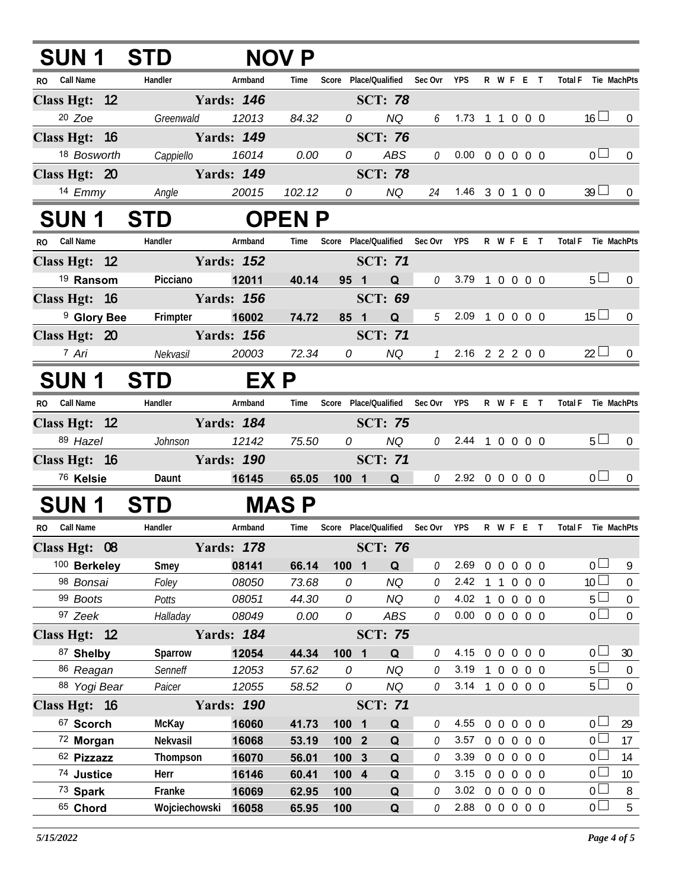| <b>SUN1</b>              | <b>ST</b>                     | <b>NOV</b>        |                |                 |                             |              |                            |              |         |                   |        |                                  |                       |
|--------------------------|-------------------------------|-------------------|----------------|-----------------|-----------------------------|--------------|----------------------------|--------------|---------|-------------------|--------|----------------------------------|-----------------------|
| Call Name<br>RO.         | Handler                       | Armband           | Time           |                 | Score Place/Qualified       | Sec Ovr      | <b>YPS</b>                 |              |         | R W F E T         |        | <b>Total F</b>                   | Tie MachPts           |
| Class Hgt: 12            |                               | <b>Yards: 146</b> |                |                 | <b>SCT: 78</b>              |              |                            |              |         |                   |        |                                  |                       |
| $20$ Zoe                 | Greenwald                     | 12013             | 84.32          |                 | $\overline{0}$<br><b>NQ</b> | 6            | $1.73$ 1 1 0 0 0           |              |         |                   |        | $16 \Box$                        | $\overline{0}$        |
| Class Hgt: 16            |                               | <b>Yards: 149</b> |                |                 | <b>SCT: 76</b>              |              |                            |              |         |                   |        |                                  |                       |
| 18 Bosworth              | Cappiello                     | 16014             | 0.00           | $\overline{O}$  | ABS                         | $\mathcal O$ | $0.00 \t0 \t0 \t0 \t0 \t0$ |              |         |                   |        | 0 <sub>1</sub>                   | $\mathbf{0}$          |
| Class Hgt: 20            |                               | <b>Yards: 149</b> |                |                 | <b>SCT: 78</b>              |              |                            |              |         |                   |        |                                  |                       |
| 14 Emmy                  | Angle                         | 20015             | 102.12         | $\overline{0}$  | NQ                          |              | 24 1.46 3 0 1 0 0          |              |         |                   |        | $39 \Box$                        | $\mathbf{0}$          |
| SUN 1                    | <b>STD</b>                    |                   | <b>OPEN P</b>  |                 |                             |              |                            |              |         |                   |        |                                  |                       |
| Call Name<br>RO.         | Handler                       | Armband           | Time           | Score           | Place/Qualified Sec Ovr     |              | <b>YPS</b>                 |              | R W F E |                   | $\top$ | <b>Total F</b><br>Tie MachPts    |                       |
| Class Hgt: 12            |                               | <b>Yards: 152</b> |                |                 | <b>SCT: 71</b>              |              |                            |              |         |                   |        |                                  |                       |
| <sup>19</sup> Ransom     | Picciano                      | 12011             | 40.14          |                 | 95 1<br>Q                   | $\theta$     | 3.79 1 0 0 0 0             |              |         |                   |        | 5 <sub>1</sub>                   | 0                     |
| Class Hgt: 16            |                               | <b>Yards: 156</b> |                |                 | <b>SCT: 69</b>              |              |                            |              |         |                   |        |                                  |                       |
| <sup>9</sup> Glory Bee   | Frimpter                      | 16002             | 74.72          | 85 <sub>1</sub> | Q                           |              | $5$ 2.09 1 0 0 0 0         |              |         |                   |        | $15 \Box$                        | 0                     |
| Class Hgt: 20            | <b>Example 150</b> Yards: 156 |                   |                |                 | <b>SCT: 71</b>              |              |                            |              |         |                   |        |                                  |                       |
| <sup>7</sup> Ari         | Nekvasil                      | 20003             | 72.34          | $\overline{O}$  | NQ                          |              | 7 2.16 2 2 2 0 0           |              |         |                   |        | $22 \Box$                        |                       |
| <b>SUN1</b>              | <b>STD</b>                    | EX P              |                |                 |                             |              |                            |              |         |                   |        |                                  |                       |
| Call Name<br>RO.         | Handler                       | Armband           | Time           | Score           | Place/Qualified             | Sec Ovr      | <b>YPS</b>                 |              | R W F E |                   | $\top$ | <b>Total F</b><br>Tie MachPts    |                       |
| Class Hgt: 12            |                               | <b>Yards: 184</b> |                |                 | <b>SCT: 75</b>              |              |                            |              |         |                   |        |                                  |                       |
| 89 Hazel                 | Johnson                       | 12142             | 75.50          |                 | $\overline{0}$<br>NQ        | 0            | 2.44 1 0 0 0 0             |              |         |                   |        | 5 <sub>1</sub>                   | $\mathbf{0}$          |
| Class Hgt: 16            |                               | <b>Yards: 190</b> |                |                 | <b>SCT: 71</b>              |              |                            |              |         |                   |        |                                  |                       |
| <sup>76</sup> Kelsie     | Daunt                         | 16145             | 65.05          |                 | $100$ 1<br>$\mathbf Q$      |              | $0$ 2.92 0 0 0 0 0         |              |         |                   |        | 0 <sup>1</sup>                   |                       |
| SUN 1                    | <b>STD</b>                    |                   | <b>MASP</b>    |                 |                             |              |                            |              |         |                   |        |                                  |                       |
| <b>Call Name</b><br>RO.  | Handler                       | Armband           | Time           |                 | Score Place/Qualified       | Sec Ovr      | YPS                        |              |         | R W F E T         |        | <b>Total F</b><br>Tie MachPts    |                       |
| Class Hgt: 08            |                               | <b>Yards: 178</b> |                |                 | <b>SCT: 76</b>              |              |                            |              |         |                   |        |                                  |                       |
| 100 Berkeley             | Smey                          | 08141             | 66.14          | 100 1           | Q                           | 0            | $2.69$ 0 0 0 0 0           |              |         |                   |        | $_0$ $\Box$                      | 9                     |
| 98 Bonsai                | Foley                         | 08050             | 73.68          | 0               | <b>NQ</b>                   | O            | 2.42 1 1 0 0 0             |              |         |                   |        | 10 <sup>1</sup>                  | $\boldsymbol{0}$      |
| 99 Boots                 | Potts                         | 08051             | 44.30          | 0               | <b>NQ</b>                   | 0            | 4.02                       | $\mathbf{1}$ |         | 0 0 0 0           |        | 5 <sup>L</sup>                   | $\boldsymbol{0}$      |
| 97 Zeek                  | Halladay                      | 08049             | 0.00           | 0               | ABS                         | 0            | $0.00 \t0 \t0 \t0 \t0 \t0$ |              |         |                   |        | 0 <sup>1</sup>                   | $\overline{0}$        |
| Class Hgt: 12            |                               | <b>Yards: 184</b> |                |                 | <b>SCT: 75</b>              |              |                            |              |         |                   |        |                                  |                       |
| 87 Shelby                | Sparrow                       | 12054             | 44.34          | 100 1           | Q                           | 0            | 4.15 0 0 0 0 0             |              |         |                   |        | 0 <sub>1</sub>                   | 30                    |
| 86 Reagan                | Senneff                       | 12053             | 57.62          | 0               | <b>NQ</b>                   | 0            | 3.19 1 0 0 0 0             |              |         |                   |        | 5 <sub>1</sub>                   | $\overline{0}$        |
| 88 Yogi Bear             | Paicer                        | 12055             | 58.52          | 0               | NQ                          | 0            | 3.14 1 0 0 0 0             |              |         |                   |        | $5+$                             | $\mathbf{0}$          |
| Class Hgt: 16            |                               | <b>Yards: 190</b> |                |                 | <b>SCT: 71</b>              |              |                            |              |         |                   |        |                                  |                       |
| 67 Scorch                | <b>McKay</b>                  | 16060             | 41.73          | 100 1           | Q                           | 0            | 4.55                       | $0\quad 0$   |         | $0\quad 0\quad 0$ |        | 0 <sub>0</sub>                   | 29                    |
| 72 Morgan                | Nekvasil                      | 16068             | 53.19          | 100 2           | Q                           | 0            | 3.57                       |              |         | 0 0 0 0 0         |        | $\overline{0}$<br>$\overline{0}$ | 17                    |
| 62 Pizzazz<br>74 Justice | Thompson<br>Herr              | 16070<br>16146    | 56.01          | 100 3<br>100 4  | Q<br>Q                      | 0<br>0       | 3.39 0 0 0 0 0<br>3.15     |              |         | 0 0 0 0 0         |        | $\overline{0}$                   | 14<br>10 <sup>°</sup> |
| 73 Spark                 | Franke                        | 16069             | 60.41<br>62.95 | 100             | Q                           | 0            | 3.02 0 0 0 0 0             |              |         |                   |        | $\overline{0}$                   | 8                     |
| 65 Chord                 | Wojciechowski                 | 16058             | 65.95          | 100             | Q                           | 0            | 2.88 0 0 0 0 0             |              |         |                   |        | $\overline{0}$                   | 5                     |
|                          |                               |                   |                |                 |                             |              |                            |              |         |                   |        |                                  |                       |